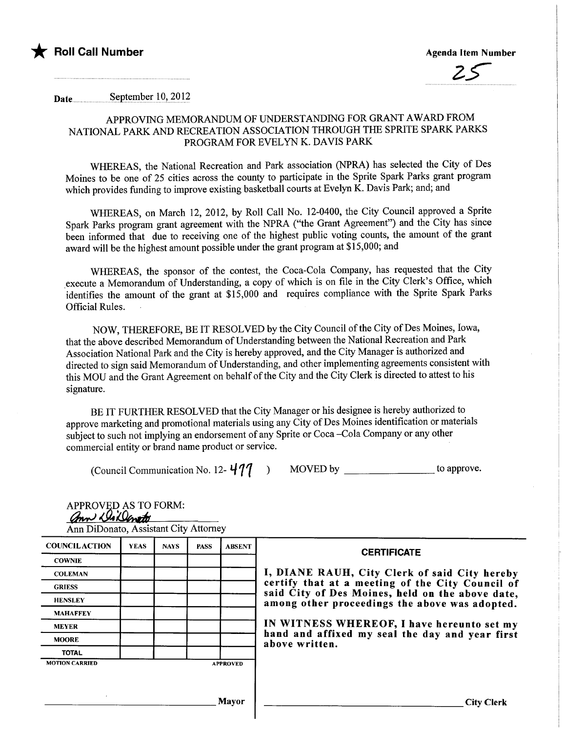

\* Roll Call Number Agenda Item Number Agenda Item Number



Date ...... .... .... ..........s.~pt~Il~~r.lQ,.2.o.P

# APPROVING MEMORANDUM OF UNDERSTANDING FOR GRANT AWARD FROM NATIONAL PARK AND RECREATION ASSOCIATION THROUGH THE SPRITE SPARK PARKS PROGRAM FOR EVELYN K. DAVIS PARK

WHREAS, the National Recreation and Park association (NRA) has selected the City of Des Moines to be one of 25 cities across the county to paricipate in the Sprite Spark Parks grant program which provides funding to improve existing basketball courts at Evelyn K. Davis Park; and; and

WHREAS, on March 12, 2012, by Roll Call No. 12-0400, the City Council approved a Sprite Spark Parks program grant agreement with the NPRA ("the Grant Agreement") and the City has since been informed that due to receiving one of the highest public voting counts, the amount of the grant award will be the highest amount possible under the grant program at \$15,000; and

WHREAS, the sponsor of the contest, the Coca-Cola Company, has requested that the City execute a Memorandum of Understanding, a copy of which is on file in the City Clerk's Office, which identifies the amount of the grant at \$15,000 and requires compliance with the Sprite Spark Parks Official Rules.

NOW, THEREFORE, BE IT RESOLVED by the City Council of the City of Des Moines, Iowa, that the above described Memorandum of Understanding between the National Recreation and Park Association National Park and the City is hereby approved, and the City Manager is authorized and directed to sign said Memorandum of Understanding, and other implementing agreements consistent with this MOU and the Grant Agreement on behalf of the City and the City Clerk is directed to attest to his signature.

BE IT FURTHER RESOLVED that the City Manager or his designee is hereby authorized to approve marketing and promotional materials using any City of Des Moines identification or materials subject to such not implying an endorsement of any Sprite or Coca -Cola Company or any other commercial entity or brand name product or service.

(Council Communication No. 12- "'11 ) MOVED by to approve.

| <b>COUNCILACTION</b>  | <b>YEAS</b> | <b>NAYS</b> | <b>PASS</b> | <b>ABSENT</b>   | <b>CERTIFICATE</b>                                                                                 |  |  |  |  |
|-----------------------|-------------|-------------|-------------|-----------------|----------------------------------------------------------------------------------------------------|--|--|--|--|
| <b>COWNIE</b>         |             |             |             |                 |                                                                                                    |  |  |  |  |
| <b>COLEMAN</b>        |             |             |             |                 | I, DIANE RAUH, City Clerk of said City hereby                                                      |  |  |  |  |
| <b>GRIESS</b>         |             |             |             |                 | certify that at a meeting of the City Council of                                                   |  |  |  |  |
| <b>HENSLEY</b>        |             |             |             |                 | said City of Des Moines, held on the above date,<br>among other proceedings the above was adopted. |  |  |  |  |
| <b>MAHAFFEY</b>       |             |             |             |                 |                                                                                                    |  |  |  |  |
| <b>MEYER</b>          |             |             |             |                 | IN WITNESS WHEREOF, I have hereunto set my                                                         |  |  |  |  |
| <b>MOORE</b>          |             |             |             |                 | hand and affixed my seal the day and year first<br>above written.                                  |  |  |  |  |
| <b>TOTAL</b>          |             |             |             |                 |                                                                                                    |  |  |  |  |
| <b>MOTION CARRIED</b> |             |             |             | <b>APPROVED</b> |                                                                                                    |  |  |  |  |